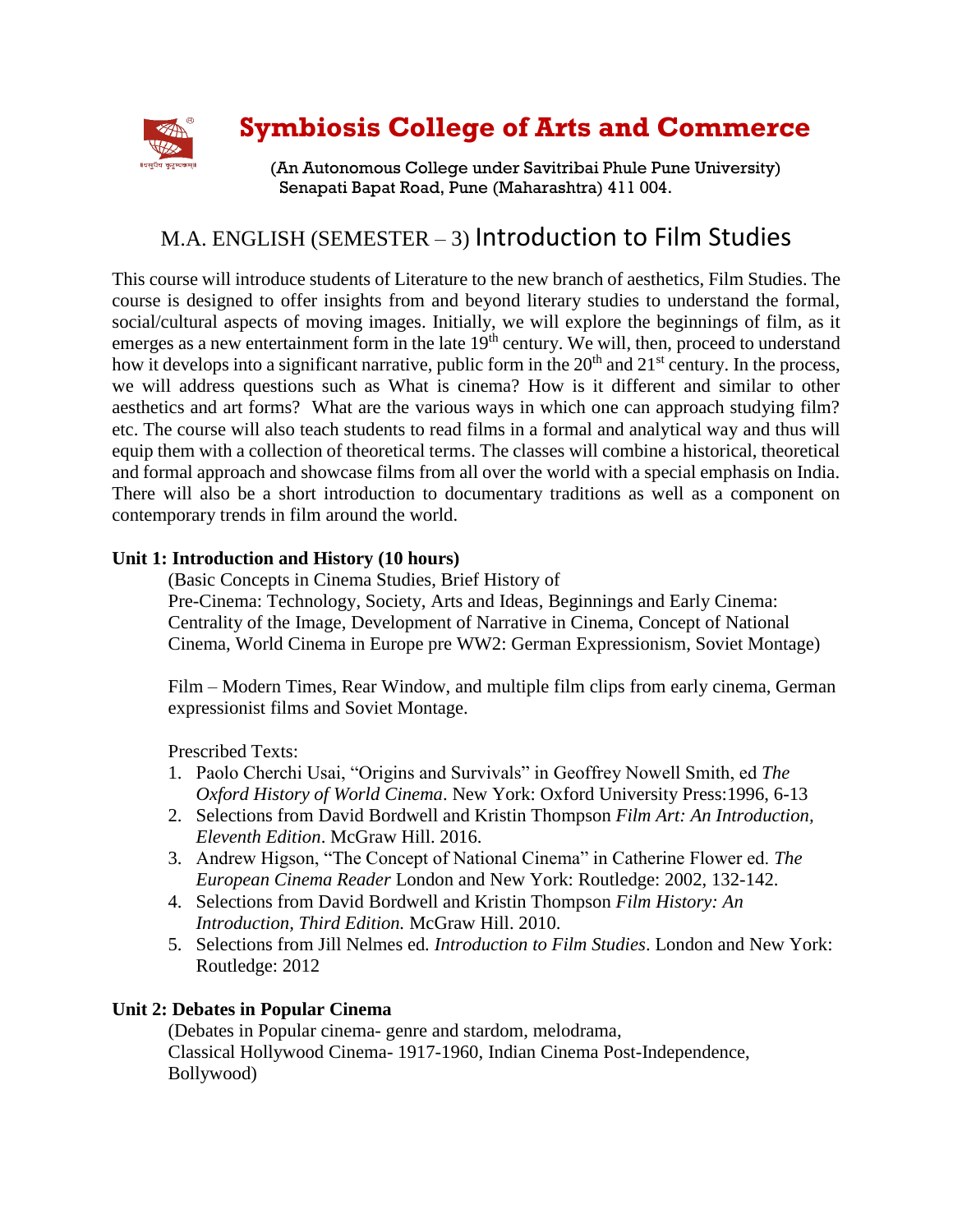

# **Symbiosis College of Arts and Commerce**

(An Autonomous College under Savitribai Phule Pune University) Senapati Bapat Road, Pune (Maharashtra) 411 004.

# M.A. ENGLISH (SEMESTER – 3) Introduction to Film Studies

This course will introduce students of Literature to the new branch of aesthetics, Film Studies. The course is designed to offer insights from and beyond literary studies to understand the formal, social/cultural aspects of moving images. Initially, we will explore the beginnings of film, as it emerges as a new entertainment form in the late 19<sup>th</sup> century. We will, then, proceed to understand how it develops into a significant narrative, public form in the  $20<sup>th</sup>$  and  $21<sup>st</sup>$  century. In the process, we will address questions such as What is cinema? How is it different and similar to other aesthetics and art forms? What are the various ways in which one can approach studying film? etc. The course will also teach students to read films in a formal and analytical way and thus will equip them with a collection of theoretical terms. The classes will combine a historical, theoretical and formal approach and showcase films from all over the world with a special emphasis on India. There will also be a short introduction to documentary traditions as well as a component on contemporary trends in film around the world.

#### **Unit 1: Introduction and History (10 hours)**

(Basic Concepts in Cinema Studies, Brief History of Pre-Cinema: Technology, Society, Arts and Ideas, Beginnings and Early Cinema: Centrality of the Image, Development of Narrative in Cinema, Concept of National Cinema, World Cinema in Europe pre WW2: German Expressionism, Soviet Montage)

Film – Modern Times, Rear Window, and multiple film clips from early cinema, German expressionist films and Soviet Montage.

Prescribed Texts:

- 1. Paolo Cherchi Usai, "Origins and Survivals" in Geoffrey Nowell Smith, ed *The Oxford History of World Cinema*. New York: Oxford University Press:1996, 6-13
- 2. Selections from David Bordwell and Kristin Thompson *Film Art: An Introduction, Eleventh Edition*. McGraw Hill. 2016.
- 3. Andrew Higson, "The Concept of National Cinema" in Catherine Flower ed. *The European Cinema Reader* London and New York: Routledge: 2002, 132-142.
- 4. Selections from David Bordwell and Kristin Thompson *Film History: An Introduction, Third Edition.* McGraw Hill. 2010.
- 5. Selections from Jill Nelmes ed*. Introduction to Film Studies*. London and New York: Routledge: 2012

## **Unit 2: Debates in Popular Cinema**

(Debates in Popular cinema- genre and stardom, melodrama, Classical Hollywood Cinema- 1917-1960, Indian Cinema Post-Independence, Bollywood)